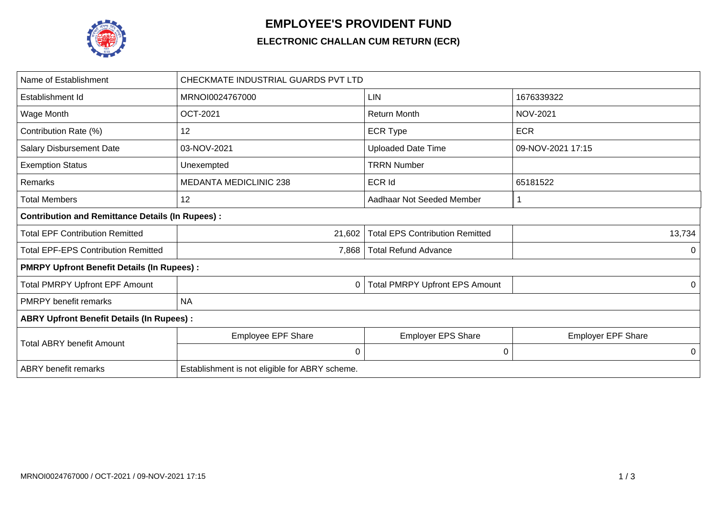

## **EMPLOYEE'S PROVIDENT FUND**

## **ELECTRONIC CHALLAN CUM RETURN (ECR)**

| Name of Establishment                                   | CHECKMATE INDUSTRIAL GUARDS PVT LTD            |                                        |                           |  |  |  |  |
|---------------------------------------------------------|------------------------------------------------|----------------------------------------|---------------------------|--|--|--|--|
| Establishment Id                                        | MRNOI0024767000                                | LIN                                    | 1676339322                |  |  |  |  |
| Wage Month                                              | <b>OCT-2021</b>                                | <b>Return Month</b>                    | <b>NOV-2021</b>           |  |  |  |  |
| Contribution Rate (%)                                   | 12                                             | <b>ECR Type</b>                        | <b>ECR</b>                |  |  |  |  |
| <b>Salary Disbursement Date</b>                         | 03-NOV-2021                                    | <b>Uploaded Date Time</b>              | 09-NOV-2021 17:15         |  |  |  |  |
| <b>Exemption Status</b>                                 | Unexempted                                     | <b>TRRN Number</b>                     |                           |  |  |  |  |
| Remarks                                                 | <b>MEDANTA MEDICLINIC 238</b>                  | <b>ECR Id</b>                          | 65181522                  |  |  |  |  |
| <b>Total Members</b>                                    | 12                                             | Aadhaar Not Seeded Member              |                           |  |  |  |  |
| <b>Contribution and Remittance Details (In Rupees):</b> |                                                |                                        |                           |  |  |  |  |
| <b>Total EPF Contribution Remitted</b>                  | 21,602                                         | <b>Total EPS Contribution Remitted</b> | 13,734                    |  |  |  |  |
| <b>Total EPF-EPS Contribution Remitted</b>              | 7,868                                          | <b>Total Refund Advance</b>            | 0                         |  |  |  |  |
| <b>PMRPY Upfront Benefit Details (In Rupees):</b>       |                                                |                                        |                           |  |  |  |  |
| <b>Total PMRPY Upfront EPF Amount</b>                   | 0                                              | <b>Total PMRPY Upfront EPS Amount</b>  | 0                         |  |  |  |  |
| <b>PMRPY</b> benefit remarks                            | <b>NA</b>                                      |                                        |                           |  |  |  |  |
| <b>ABRY Upfront Benefit Details (In Rupees):</b>        |                                                |                                        |                           |  |  |  |  |
|                                                         | <b>Employee EPF Share</b>                      | <b>Employer EPS Share</b>              | <b>Employer EPF Share</b> |  |  |  |  |
| <b>Total ABRY benefit Amount</b>                        | $\mathbf 0$                                    | 0                                      | 0                         |  |  |  |  |
| <b>ABRY</b> benefit remarks                             | Establishment is not eligible for ABRY scheme. |                                        |                           |  |  |  |  |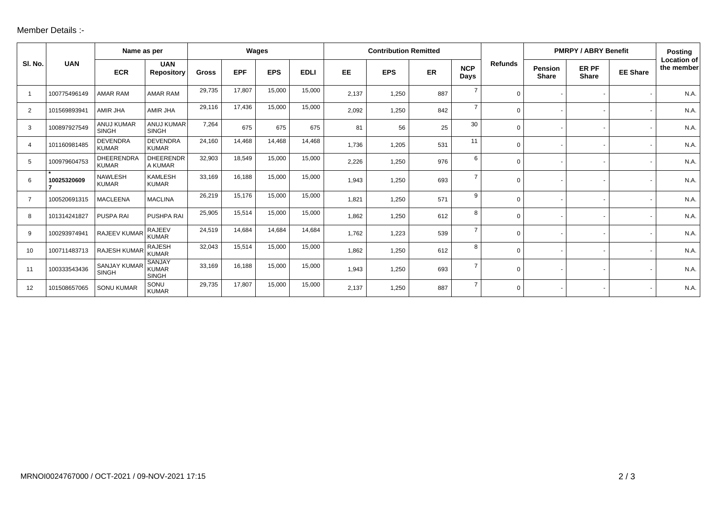## Member Details :-

|                |              | Name as per                         |                                               | Wages        |            |            | <b>Contribution Remitted</b> |           |            |     |                    | <b>PMRPY / ABRY Benefit</b> |                                |                       | <b>Posting</b>  |                                  |
|----------------|--------------|-------------------------------------|-----------------------------------------------|--------------|------------|------------|------------------------------|-----------|------------|-----|--------------------|-----------------------------|--------------------------------|-----------------------|-----------------|----------------------------------|
| SI. No.        | <b>UAN</b>   | <b>ECR</b>                          | <b>UAN</b><br><b>Repository</b>               | <b>Gross</b> | <b>EPF</b> | <b>EPS</b> | <b>EDLI</b>                  | <b>EE</b> | <b>EPS</b> | ER  | <b>NCP</b><br>Days | <b>Refunds</b>              | <b>Pension</b><br><b>Share</b> | ER PF<br><b>Share</b> | <b>EE Share</b> | <b>Location of</b><br>the member |
| -1             | 100775496149 | <b>AMAR RAM</b>                     | <b>AMAR RAM</b>                               | 29,735       | 17,807     | 15,000     | 15,000                       | 2,137     | 1,250      | 887 | $\overline{7}$     | $\Omega$                    |                                |                       |                 | N.A.                             |
| 2              | 101569893941 | AMIR JHA                            | AMIR JHA                                      | 29,116       | 17,436     | 15,000     | 15,000                       | 2,092     | 1,250      | 842 | $\overline{7}$     | $\Omega$                    |                                |                       |                 | N.A.                             |
| 3              | 100897927549 | <b>ANUJ KUMAR</b><br><b>SINGH</b>   | <b>ANUJ KUMAR</b><br><b>SINGH</b>             | 7,264        | 675        | 675        | 675                          | 81        | 56         | 25  | 30                 | $\Omega$                    |                                |                       |                 | N.A.                             |
| 4              | 101160981485 | <b>DEVENDRA</b><br><b>KUMAR</b>     | <b>DEVENDRA</b><br><b>KUMAR</b>               | 24,160       | 14,468     | 14,468     | 14,468                       | 1,736     | 1,205      | 531 | 11                 | $\Omega$                    |                                |                       |                 | N.A.                             |
| 5              | 100979604753 | <b>DHEERENDRA</b><br><b>KUMAR</b>   | <b>DHEERENDR</b><br>A KUMAR                   | 32,903       | 18,549     | 15,000     | 15,000                       | 2,226     | 1,250      | 976 | 6                  | $\Omega$                    |                                |                       |                 | N.A.                             |
| 6              | 10025320609  | <b>NAWLESH</b><br><b>KUMAR</b>      | <b>KAMLESH</b><br><b>KUMAR</b>                | 33,169       | 16,188     | 15,000     | 15,000                       | 1,943     | 1,250      | 693 | 7                  | $\Omega$                    |                                |                       |                 | N.A.                             |
| $\overline{7}$ | 100520691315 | <b>MACLEENA</b>                     | <b>MACLINA</b>                                | 26,219       | 15,176     | 15,000     | 15,000                       | 1,821     | 1,250      | 571 | 9                  | $\Omega$                    |                                |                       |                 | N.A.                             |
| 8              | 101314241827 | PUSPA RAI                           | PUSHPA RAI                                    | 25,905       | 15,514     | 15,000     | 15,000                       | 1,862     | 1,250      | 612 | 8                  | $\Omega$                    |                                |                       |                 | N.A.                             |
| 9              | 100293974941 | RAJEEV KUMAR                        | <b>RAJEEV</b><br><b>KUMAR</b>                 | 24,519       | 14,684     | 14,684     | 14,684                       | 1,762     | 1,223      | 539 | $\overline{7}$     | $\Omega$                    |                                |                       |                 | N.A.                             |
| 10             | 100711483713 | <b>RAJESH KUMAR</b>                 | <b>RAJESH</b><br><b>KUMAR</b>                 | 32,043       | 15,514     | 15,000     | 15,000                       | 1,862     | 1,250      | 612 | 8                  | $\Omega$                    |                                |                       |                 | N.A.                             |
| 11             | 100333543436 | <b>SANJAY KUMAF</b><br><b>SINGH</b> | <b>SANJAY</b><br><b>KUMAR</b><br><b>SINGH</b> | 33,169       | 16,188     | 15,000     | 15,000                       | 1,943     | 1,250      | 693 | $\overline{7}$     | $\Omega$                    |                                |                       |                 | N.A.                             |
| 12             | 101508657065 | <b>SONU KUMAR</b>                   | SONU<br><b>KUMAR</b>                          | 29,735       | 17,807     | 15,000     | 15,000                       | 2,137     | 1,250      | 887 | $\overline{7}$     | $\Omega$                    |                                | $\sim$                |                 | N.A.                             |